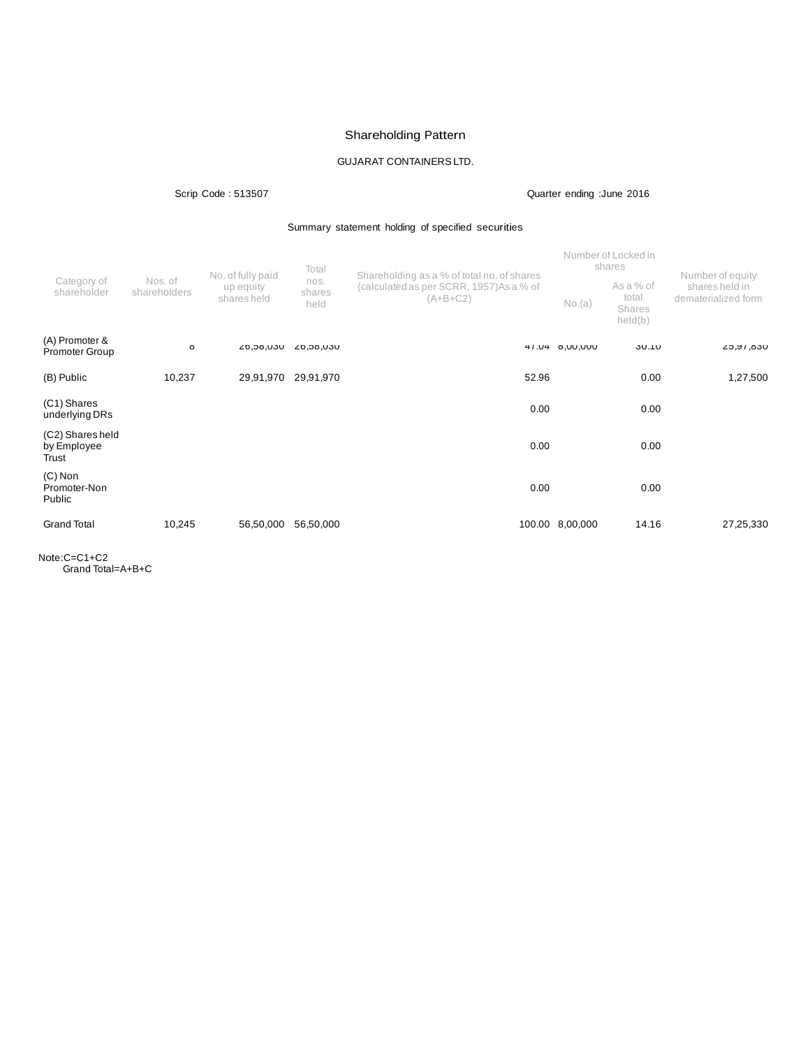# Shareholding Pattern

# GUJARAT CONTAINERSLTD.

## Scrip Code : 513507 Quarter ending :June 2016

## Summary statement holding of specified securities

|                                          |                         | No. of fully paid        | Total                  | Shareholding as a % of total no. of shares             | Number of Locked in<br>shares |                                                | Number of equity                      |
|------------------------------------------|-------------------------|--------------------------|------------------------|--------------------------------------------------------|-------------------------------|------------------------------------------------|---------------------------------------|
| Category of<br>shareholder               | Nos. of<br>shareholders | up equity<br>shares held | nos.<br>shares<br>held | (calculated as per SCRR, 1957) As a % of<br>$(A+B+C2)$ | No.(a)                        | As a % of<br>total<br><b>Shares</b><br>held(b) | shares held in<br>dematerialized form |
| (A) Promoter &<br><b>Promoter Group</b>  | Ö                       | UCU, ÖC, 02              | UCU, ÖC, 02            |                                                        | 47.04 8,00,000                | <b>30.10</b>                                   | UCD, VU, C2                           |
| (B) Public                               | 10,237                  | 29,91,970                | 29,91,970              | 52.96                                                  |                               | 0.00                                           | 1,27,500                              |
| (C1) Shares<br>underlying DRs            |                         |                          |                        | 0.00                                                   |                               | 0.00                                           |                                       |
| (C2) Shares held<br>by Employee<br>Trust |                         |                          |                        | 0.00                                                   |                               | 0.00                                           |                                       |
| $(C)$ Non<br>Promoter-Non<br>Public      |                         |                          |                        | 0.00                                                   |                               | 0.00                                           |                                       |
| <b>Grand Total</b>                       | 10,245                  | 56,50,000                | 56,50,000              |                                                        | 100.00 8,00,000               | 14.16                                          | 27,25,330                             |

Note:C=C1+C2 Grand Total=A+B+C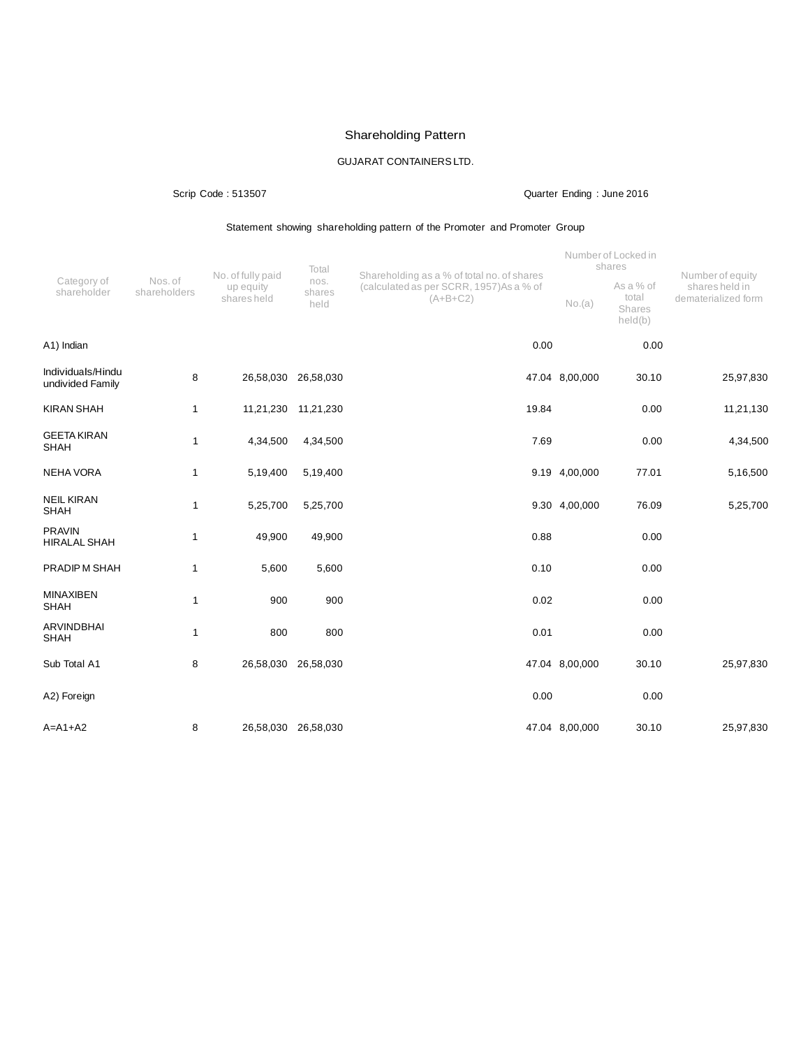# Shareholding Pattern

# GUJARAT CONTAINERSLTD.

## Scrip Code : 513507 Quarter Ending : June 2016

## Statement showing shareholding pattern of the Promoter and Promoter Group

|                                       | Nos. of<br>shareholders | No. of fully paid<br>up equity<br>shares held | Total                  | Shareholding as a % of total no. of shares            |                | Number of Locked in<br>shares           | Number of equity<br>shares held in<br>dematerialized form |
|---------------------------------------|-------------------------|-----------------------------------------------|------------------------|-------------------------------------------------------|----------------|-----------------------------------------|-----------------------------------------------------------|
| Category of<br>shareholder            |                         |                                               | nos.<br>shares<br>held | (calculated as per SCRR, 1957)As a % of<br>$(A+B+C2)$ | No.(a)         | As a % of<br>total<br>Shares<br>held(b) |                                                           |
| A1) Indian                            |                         |                                               |                        | 0.00                                                  |                | 0.00                                    |                                                           |
| Individuals/Hindu<br>undivided Family | 8                       |                                               | 26,58,030 26,58,030    |                                                       | 47.04 8,00,000 | 30.10                                   | 25,97,830                                                 |
| <b>KIRAN SHAH</b>                     | $\mathbf{1}$            |                                               | 11,21,230 11,21,230    | 19.84                                                 |                | 0.00                                    | 11,21,130                                                 |
| <b>GEETA KIRAN</b><br><b>SHAH</b>     | $\mathbf{1}$            | 4,34,500                                      | 4,34,500               | 7.69                                                  |                | 0.00                                    | 4,34,500                                                  |
| <b>NEHA VORA</b>                      | $\mathbf{1}$            | 5,19,400                                      | 5,19,400               |                                                       | 9.19 4,00,000  | 77.01                                   | 5,16,500                                                  |
| <b>NEIL KIRAN</b><br><b>SHAH</b>      | $\mathbf{1}$            | 5,25,700                                      | 5,25,700               |                                                       | 9.30 4,00,000  | 76.09                                   | 5,25,700                                                  |
| <b>PRAVIN</b><br><b>HIRALAL SHAH</b>  | $\mathbf{1}$            | 49,900                                        | 49,900                 | 0.88                                                  |                | 0.00                                    |                                                           |
| PRADIPM SHAH                          | $\mathbf{1}$            | 5,600                                         | 5,600                  | 0.10                                                  |                | 0.00                                    |                                                           |
| <b>MINAXIBEN</b><br><b>SHAH</b>       | $\overline{1}$          | 900                                           | 900                    | 0.02                                                  |                | 0.00                                    |                                                           |
| <b>ARVINDBHAI</b><br><b>SHAH</b>      | $\mathbf{1}$            | 800                                           | 800                    | 0.01                                                  |                | 0.00                                    |                                                           |
| Sub Total A1                          | 8                       |                                               | 26,58,030 26,58,030    |                                                       | 47.04 8,00,000 | 30.10                                   | 25,97,830                                                 |
| A2) Foreign                           |                         |                                               |                        | 0.00                                                  |                | 0.00                                    |                                                           |
| $A=A1+A2$                             | 8                       |                                               | 26,58,030 26,58,030    |                                                       | 47.04 8,00,000 | 30.10                                   | 25,97,830                                                 |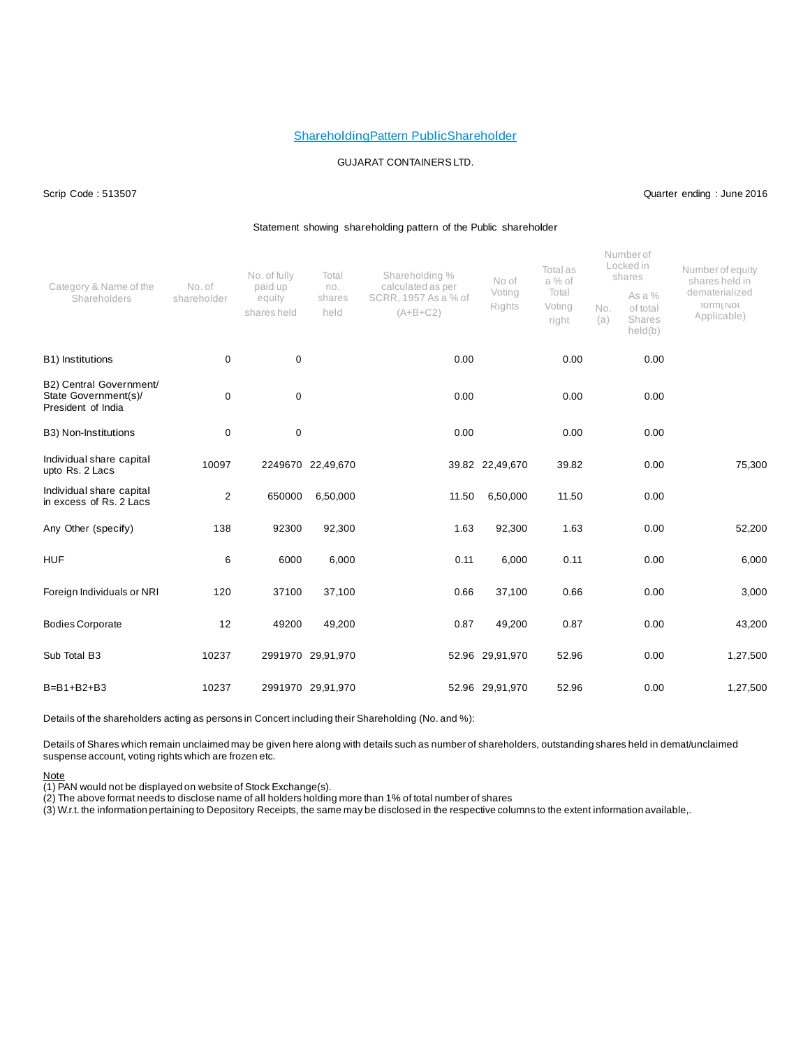### ShareholdingPattern PublicShareholder

### GUJARAT CONTAINERSLTD.

Scrip Code : 513507 Quarter ending : June 2016

### Statement showing shareholding pattern of the Public shareholder

|                                                                       |                       | No. of fully                     | Total                 | Shareholding %                                          | No of            | Total as<br>a % of       |            | Numberof<br>Locked in<br>shares         | Number of equity<br>shares held in              |
|-----------------------------------------------------------------------|-----------------------|----------------------------------|-----------------------|---------------------------------------------------------|------------------|--------------------------|------------|-----------------------------------------|-------------------------------------------------|
| Category & Name of the<br>Shareholders                                | No. of<br>shareholder | paid up<br>equity<br>shares held | no.<br>shares<br>held | calculated as per<br>SCRR, 1957 As a % of<br>$(A+B+C2)$ | Voting<br>Rights | Total<br>Voting<br>right | No.<br>(a) | As a %<br>of total<br>Shares<br>held(b) | dematerialized<br>TO ITTI ( INOT<br>Applicable) |
| B1) Institutions                                                      | 0                     | $\mathbf 0$                      |                       | 0.00                                                    |                  | 0.00                     |            | 0.00                                    |                                                 |
| B2) Central Government/<br>State Government(s)/<br>President of India | $\mathbf 0$           | $\pmb{0}$                        |                       | 0.00                                                    |                  | 0.00                     |            | 0.00                                    |                                                 |
| B3) Non-Institutions                                                  | $\mathbf 0$           | $\mathbf 0$                      |                       | 0.00                                                    |                  | 0.00                     |            | 0.00                                    |                                                 |
| Individual share capital<br>upto Rs. 2 Lacs                           | 10097                 |                                  | 2249670 22,49,670     |                                                         | 39.82 22,49,670  | 39.82                    |            | 0.00                                    | 75,300                                          |
| Individual share capital<br>in excess of Rs. 2 Lacs                   | 2                     | 650000                           | 6,50,000              | 11.50                                                   | 6,50,000         | 11.50                    |            | 0.00                                    |                                                 |
| Any Other (specify)                                                   | 138                   | 92300                            | 92,300                | 1.63                                                    | 92,300           | 1.63                     |            | 0.00                                    | 52,200                                          |
| <b>HUF</b>                                                            | 6                     | 6000                             | 6,000                 | 0.11                                                    | 6,000            | 0.11                     |            | 0.00                                    | 6,000                                           |
| Foreign Individuals or NRI                                            | 120                   | 37100                            | 37,100                | 0.66                                                    | 37,100           | 0.66                     |            | 0.00                                    | 3,000                                           |
| <b>Bodies Corporate</b>                                               | 12                    | 49200                            | 49,200                | 0.87                                                    | 49,200           | 0.87                     |            | 0.00                                    | 43,200                                          |
| Sub Total B3                                                          | 10237                 |                                  | 2991970 29,91,970     |                                                         | 52.96 29,91,970  | 52.96                    |            | 0.00                                    | 1,27,500                                        |
| $B=B1+B2+B3$                                                          | 10237                 |                                  | 2991970 29,91,970     |                                                         | 52.96 29,91,970  | 52.96                    |            | 0.00                                    | 1,27,500                                        |

Details of the shareholders acting as persons in Concert including their Shareholding (No. and %):

Details of Shares which remain unclaimed may be given here along with details such as number of shareholders, outstanding shares held in demat/unclaimed suspense account, voting rights which are frozen etc.

Note

(1) PAN would not be displayed on website of Stock Exchange(s).

(2) The above format needs to disclose name of all holders holding more than 1% of total number of shares

(3) W.r.t. the information pertaining to Depository Receipts, the same may be disclosed in the respective columns to the extent information available,.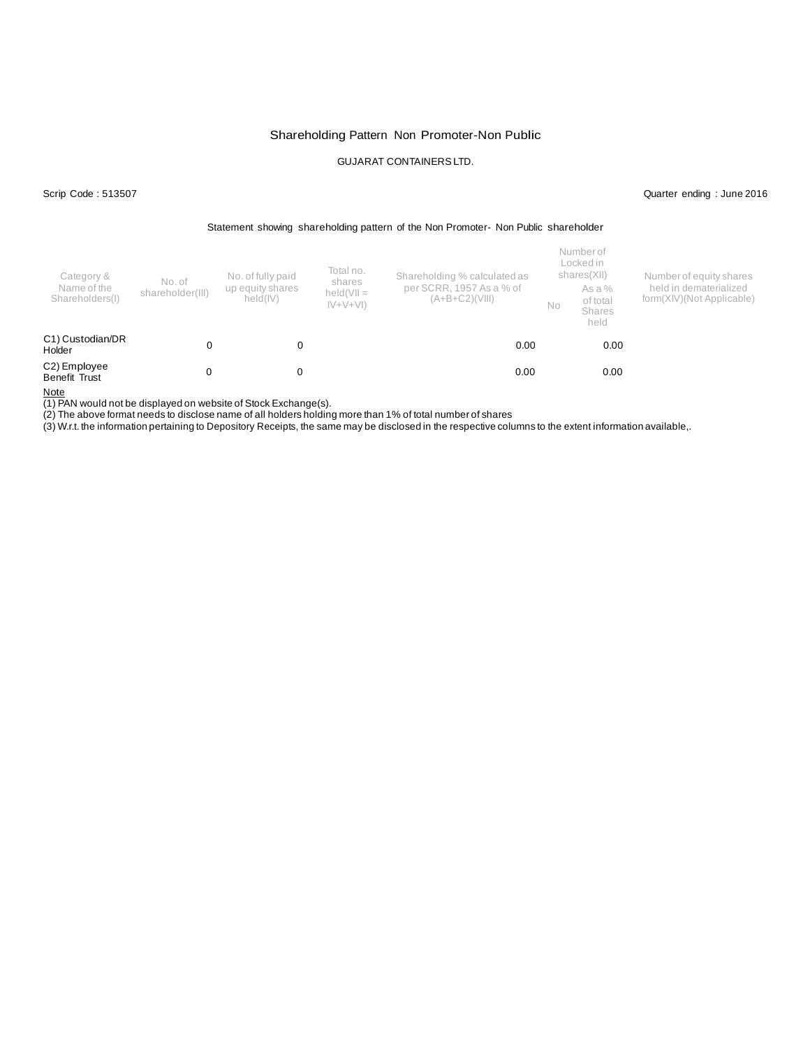## Shareholding Pattern Non Promoter-Non Public

## GUJARAT CONTAINERSLTD.

Scrip Code : 513507 Quarter ending : June 2016

### Statement showing shareholding pattern of the Non Promoter- Non Public shareholder

| Category &<br>Name of the<br>Shareholders(I) | No. of<br>shareholder(III) | No. of fully paid<br>up equity shares<br>held(IV) | Total no.<br>shares<br>$held(VII =$<br>$ V+V+V $ | Shareholding % calculated as<br>per SCRR, 1957 As a % of<br>$(A+B+C2)(VIII)$ |  | Number of<br>Locked in<br>shares(XII)<br>As a %<br>of total<br>Shares<br>held | Number of equity shares<br>held in dematerialized<br>form(XIV)(Not Applicable) |
|----------------------------------------------|----------------------------|---------------------------------------------------|--------------------------------------------------|------------------------------------------------------------------------------|--|-------------------------------------------------------------------------------|--------------------------------------------------------------------------------|
| C1) Custodian/DR<br>Holder                   |                            | 0                                                 |                                                  | 0.00                                                                         |  | 0.00                                                                          |                                                                                |
| C2) Employee<br>Benefit Trust                |                            | 0                                                 |                                                  | 0.00                                                                         |  | 0.00                                                                          |                                                                                |

Note

(1) PAN would not be displayed on website of Stock Exchange(s).

(2) The above format needs to disclose name of all holders holding more than 1% of total number of shares

(3) W.r.t. the information pertaining to Depository Receipts, the same may be disclosed in the respective columns to the extent information available,.